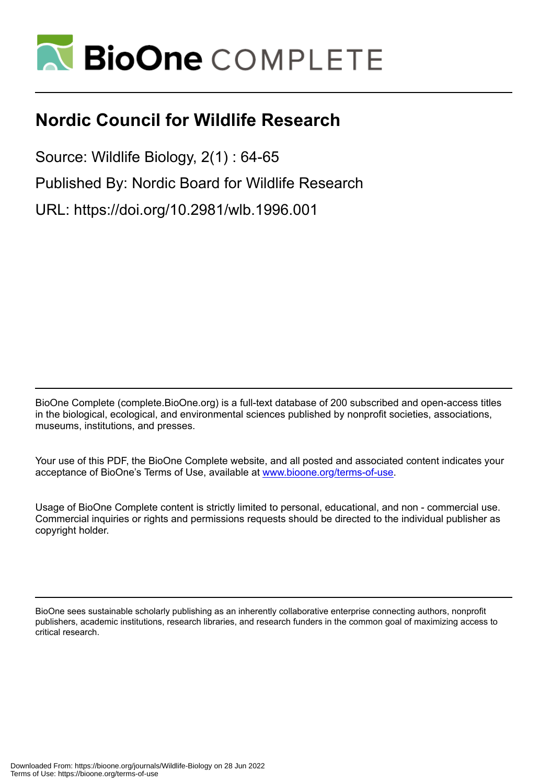

### **Nordic Council for Wildlife Research**

Source: Wildlife Biology, 2(1) : 64-65 Published By: Nordic Board for Wildlife Research URL: https://doi.org/10.2981/wlb.1996.001

BioOne Complete (complete.BioOne.org) is a full-text database of 200 subscribed and open-access titles in the biological, ecological, and environmental sciences published by nonprofit societies, associations, museums, institutions, and presses.

Your use of this PDF, the BioOne Complete website, and all posted and associated content indicates your acceptance of BioOne's Terms of Use, available at www.bioone.org/terms-of-use.

Usage of BioOne Complete content is strictly limited to personal, educational, and non - commercial use. Commercial inquiries or rights and permissions requests should be directed to the individual publisher as copyright holder.

BioOne sees sustainable scholarly publishing as an inherently collaborative enterprise connecting authors, nonprofit publishers, academic institutions, research libraries, and research funders in the common goal of maximizing access to critical research.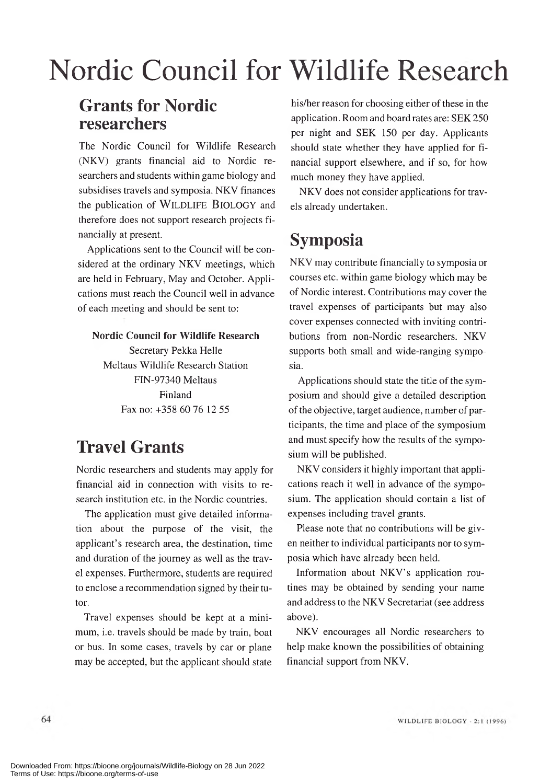# Nordic Council for Wildlife Research

#### **Grants for Nordic researchers**

The Nordic Council for Wildlife Research (NKV) grants financial aid to Nordic researchers and students within game biology and subsidises travels and symposia. NKV finances the publication of WILDLIFE BIOLOGY and therefore does not support research projects financially at present.

Applications sent to the Council will be considered at the ordinary NKV meetings, which are held in February, May and October. Applications must reach the Council well in advance of each meeting and should be sent to:

#### **Nordic Council for Wildlife Research**

Secretary Pekka Helle Meltaus Wildlife Research Station FIN-97340 Meltaus Finland Fax no: +358 60 76 12 55

#### **Travel Grants**

Nordic researchers and students may apply for financial aid in connection with visits to research institution etc. in the Nordic countries.

The application must give detailed information about the purpose of the visit, the applicant's research area, the destination, time and duration of the journey as well as the travel expenses. Furthermore, students are required to enclose a recommendation signed by their tutor.

Travel expenses should be kept at a minimum, i.e. travels should be made by train, boat or bus. In some cases, travels by car or plane may be accepted, but the applicant should state

his/her reason for choosing either of these in the application. Room and board rates are: SEK 250 per night and SEK 150 per day. Applicants should state whether they have applied for financial support elsewhere, and if so, for how much money they have applied.

NKV does not consider applications for travels already undertaken.

#### **Symposia**

NKV may contribute financially to symposia or courses etc. within game biology which may be of Nordic interest. Contributions may cover the travel expenses of participants but may also cover expenses connected with inviting contributions from non-Nordic researchers. NKV supports both small and wide-ranging symposia.

Applications should state the title of the symposium and should give a detailed description of the objective, target audience, num ber of participants, the time and place of the symposium and must specify how the results of the symposium will be published.

NKV considers it highly important that applications reach it well in advance of the symposium. The application should contain a list of expenses including travel grants.

Please note that no contributions will be given neither to individual participants nor to symposia which have already been held.

Information about NKV's application routines may be obtained by sending your name and address to the NKV Secretariat (see address above).

NKV encourages all Nordic researchers to help make known the possibilities of obtaining financial support from NKV.